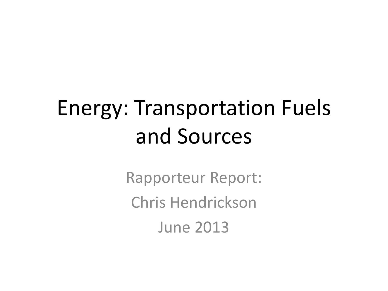## Energy: Transportation Fuels and Sources

Rapporteur Report: Chris Hendrickson June 2013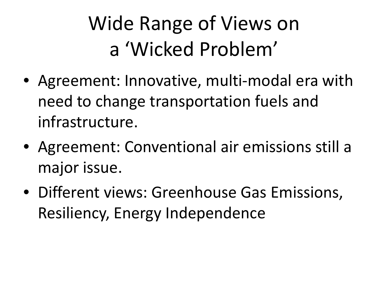### Wide Range of Views on a 'Wicked Problem'

- Agreement: Innovative, multi-modal era with need to change transportation fuels and infrastructure.
- Agreement: Conventional air emissions still a major issue.
- Different views: Greenhouse Gas Emissions, Resiliency, Energy Independence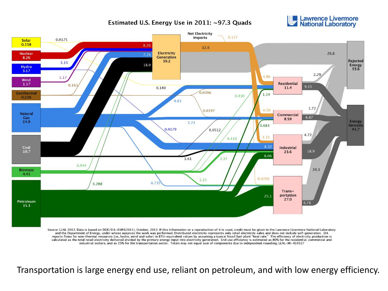#### Estimated U.S. Energy Use in 2011: ~97.3 Quads





Source: LLNL 2012. Data is based on DOE/EIA-0384(2011), October, 2012. If this information or a reproduction of it is used, credit must be given to the Lawrence Livermore National Laboratory and the Department of Energy, under whose auspices the work was performed. Distributed electricity represents only retail electricity sales and does not include self-generation. EIA reports flows for non-thermal resources (i.e., hydro, wind and solar) in BTU-equivalent values by assuming a typical fossil fuel plant "heat rate." The efficiency of electricity production is calculated as the total retail electricity delivered divided by the primary energy input into electricity generation. End use efficiency is estimated as 80% for the residential, commercial and industrial sectors, and as 25% for the transportation sector. Totals may not equal sum of components due to independent rounding. LLNL-MI-410527

Transportation is large energy end use, reliant on petroleum, and with low energy efficiency.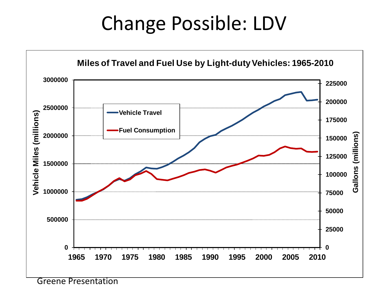#### Change Possible: LDV



Greene Presentation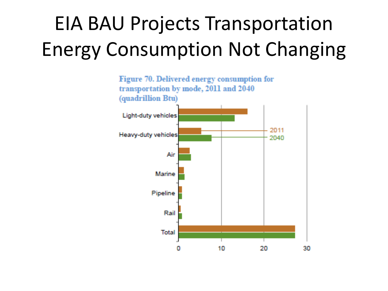### EIA BAU Projects Transportation Energy Consumption Not Changing

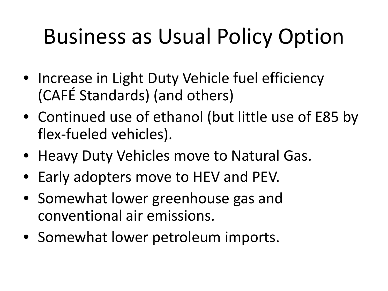## Business as Usual Policy Option

- Increase in Light Duty Vehicle fuel efficiency (CAFÉ Standards) (and others)
- Continued use of ethanol (but little use of E85 by flex-fueled vehicles).
- Heavy Duty Vehicles move to Natural Gas.
- Early adopters move to HEV and PEV.
- Somewhat lower greenhouse gas and conventional air emissions.
- Somewhat lower petroleum imports.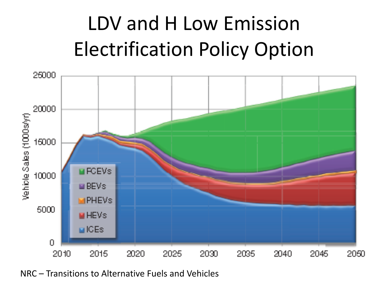### LDV and H Low Emission Electrification Policy Option



NRC – Transitions to Alternative Fuels and Vehicles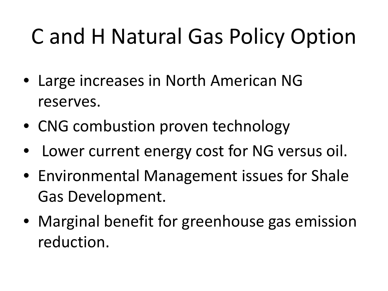## C and H Natural Gas Policy Option

- Large increases in North American NG reserves.
- CNG combustion proven technology
- Lower current energy cost for NG versus oil.
- Environmental Management issues for Shale Gas Development.
- Marginal benefit for greenhouse gas emission reduction.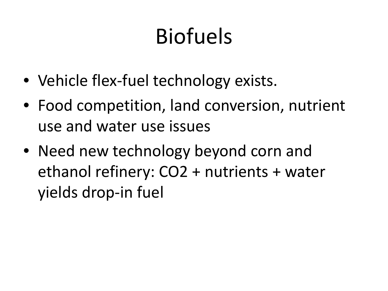# Biofuels

- Vehicle flex-fuel technology exists.
- Food competition, land conversion, nutrient use and water use issues
- Need new technology beyond corn and ethanol refinery: CO2 + nutrients + water yields drop-in fuel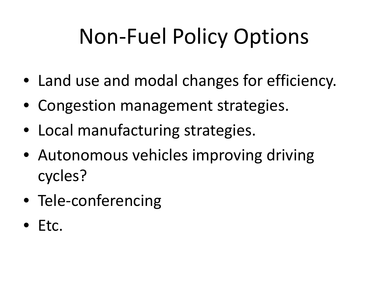## Non-Fuel Policy Options

- Land use and modal changes for efficiency.
- Congestion management strategies.
- Local manufacturing strategies.
- Autonomous vehicles improving driving cycles?
- Tele-conferencing
- Etc.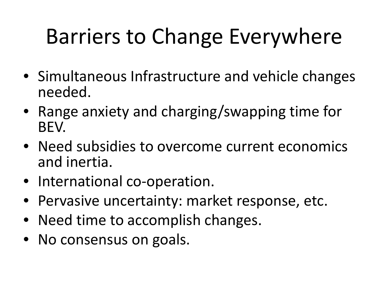## Barriers to Change Everywhere

- Simultaneous Infrastructure and vehicle changes needed.
- Range anxiety and charging/swapping time for BEV.
- Need subsidies to overcome current economics and inertia.
- International co-operation.
- Pervasive uncertainty: market response, etc.
- Need time to accomplish changes.
- No consensus on goals.